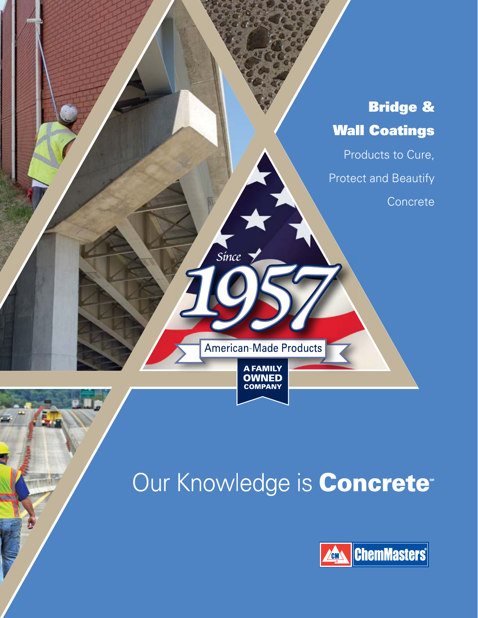

# Our Knowledge is **Concrete**<sup>®</sup>

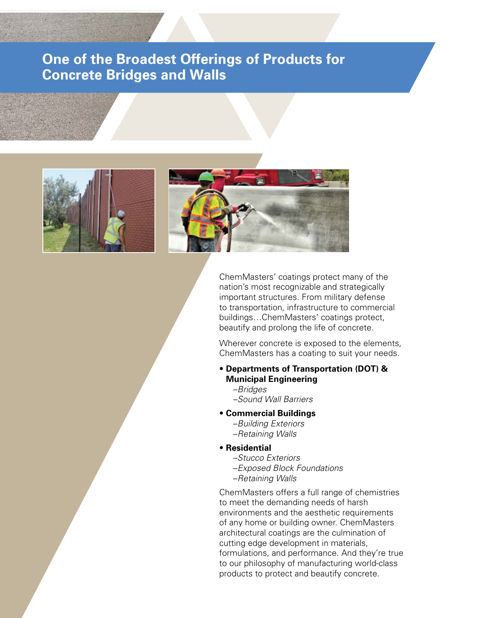# **One of the Broadest Offerings of Products for Concrete Bridges and Walls**





ChemMasters' coatings protect many of the nation's most recognizable and strategically important structures. From military defense to transportation, infrastructure to commercial buildings…ChemMasters' coatings protect, beautify and prolong the life of concrete.

Wherever concrete is exposed to the elements, ChemMasters has a coating to suit your needs.

## • **Departments of Transportation (DOT) & Municipal Engineering**

- –*Bridges* –*Sound Wall Barriers*
- **Commercial Buildings**
	- –*Building Exteriors* –*Retaining Walls*
- **Residential** 
	- –*Stucco Exteriors*
	- –*Exposed Block Foundations* –*Retaining Walls*
	-

ChemMasters offers a full range of chemistries to meet the demanding needs of harsh environments and the aesthetic requirements of any home or building owner. ChemMasters architectural coatings are the culmination of cutting edge development in materials, formulations, and performance. And they're true to our philosophy of manufacturing world-class products to protect and beautify concrete.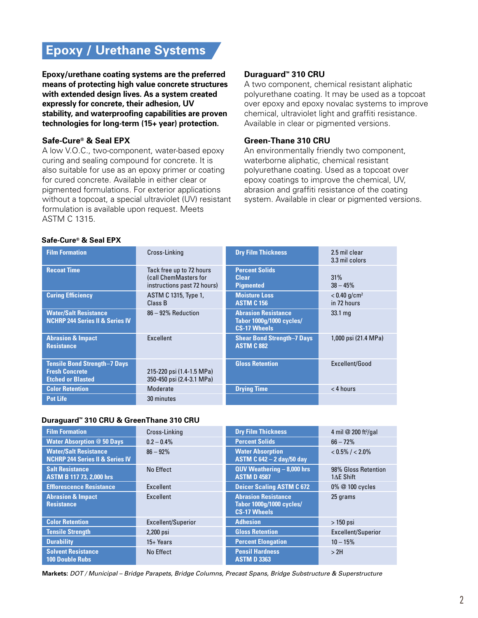# **Epoxy / Urethane Systems**

**Epoxy/urethane coating systems are the preferred means of protecting high value concrete structures with extended design lives. As a system created expressly for concrete, their adhesion, UV stability, and waterproofing capabilities are proven technologies for long-term (15+ year) protection.** 

## **Safe-Cure® & Seal EPX**

A low V.O.C., two-component, water-based epoxy curing and sealing compound for concrete. It is also suitable for use as an epoxy primer or coating for cured concrete. Available in either clear or pigmented formulations. For exterior applications without a topcoat, a special ultraviolet (UV) resistant formulation is available upon request. Meets ASTM C 1315.

#### **Duraguard™ 310 CRU**

A two component, chemical resistant aliphatic polyurethane coating. It may be used as a topcoat over epoxy and epoxy novalac systems to improve chemical, ultraviolet light and graffiti resistance. Available in clear or pigmented versions.

#### **Green-Thane 310 CRU**

An environmentally friendly two component, waterborne aliphatic, chemical resistant polyurethane coating. Used as a topcoat over epoxy coatings to improve the chemical, UV, abrasion and graffiti resistance of the coating system. Available in clear or pigmented versions.

## **Safe-Cure® & Seal EPX**

| <b>Film Formation</b>                                                                    | Cross-Linking                                                                    | <b>Dry Film Thickness</b>                                                     | 2.5 mil clear<br>3.3 mil colors           |
|------------------------------------------------------------------------------------------|----------------------------------------------------------------------------------|-------------------------------------------------------------------------------|-------------------------------------------|
| <b>Recoat Time</b>                                                                       | Tack free up to 72 hours<br>(call ChemMasters for<br>instructions past 72 hours) | <b>Percent Solids</b><br><b>Clear</b><br><b>Pigmented</b>                     | 31%<br>$38 - 45%$                         |
| <b>Curing Efficiency</b>                                                                 | ASTM C 1315, Type 1,<br>Class B                                                  | <b>Moisture Loss</b><br><b>ASTM C 156</b>                                     | $< 0.40$ g/cm <sup>2</sup><br>in 72 hours |
| <b>Water/Salt Resistance</b><br><b>NCHRP 244 Series II &amp; Series IV</b>               | 86 - 92% Reduction                                                               | <b>Abrasion Resistance</b><br>Tabor 1000q/1000 cycles/<br><b>CS-17 Wheels</b> | $33.1 \text{ ma}$                         |
| <b>Abrasion &amp; Impact</b><br><b>Resistance</b>                                        | Excellent                                                                        | <b>Shear Bond Strength-7 Days</b><br><b>ASTM C 882</b>                        | 1,000 psi (21.4 MPa)                      |
| <b>Tensile Bond Strength-7 Days</b><br><b>Fresh Concrete</b><br><b>Etched or Blasted</b> | 215-220 psi (1.4-1.5 MPa)<br>350-450 psi (2.4-3.1 MPa)                           | <b>Gloss Retention</b>                                                        | Excellent/Good                            |
| <b>Color Retention</b>                                                                   | Moderate                                                                         | <b>Drying Time</b>                                                            | $<$ 4 hours                               |
| <b>Pot Life</b>                                                                          | 30 minutes                                                                       |                                                                               |                                           |

#### **Duraguard™ 310 CRU & GreenThane 310 CRU**

| <b>Film Formation</b>                                                      | Cross-Linking      | <b>Dry Film Thickness</b>                                                     | 4 mil @ 200 ft <sup>2</sup> /gal |
|----------------------------------------------------------------------------|--------------------|-------------------------------------------------------------------------------|----------------------------------|
| <b>Water Absorption @ 50 Days</b>                                          | $0.2 - 0.4\%$      | <b>Percent Solids</b>                                                         | $66 - 72%$                       |
| <b>Water/Salt Resistance</b><br><b>NCHRP 244 Series II &amp; Series IV</b> | $86 - 92%$         | <b>Water Absorption</b><br><b>ASTM C 642 - 2 day/50 day</b>                   | $< 0.5\% / < 2.0\%$              |
| <b>Salt Resistance</b><br><b>ASTM B 117 73, 2,000 hrs</b>                  | No Effect          | $QUV$ Weathering $-8,000$ hrs<br><b>ASTM D 4587</b>                           | 98% Gloss Retention<br>1AE Shift |
| <b>Efflorescence Resistance</b>                                            | Excellent          | <b>Deicer Scaling ASTM C 672</b>                                              | 0% @ 100 cycles                  |
| <b>Abrasion &amp; Impact</b><br><b>Resistance</b>                          | Excellent          | <b>Abrasion Resistance</b><br>Tabor 1000q/1000 cycles/<br><b>CS-17 Wheels</b> | 25 grams                         |
| <b>Color Retention</b>                                                     | Excellent/Superior | <b>Adhesion</b>                                                               | $>150$ psi                       |
| <b>Tensile Strength</b>                                                    | 2,200 psi          | <b>Gloss Retention</b>                                                        | Excellent/Superior               |
| <b>Durability</b>                                                          | $15+ Years$        | <b>Percent Elongation</b>                                                     | $10 - 15%$                       |
| <b>Solvent Resistance</b><br><b>100 Double Rubs</b>                        | No Effect          | <b>Pensil Hardness</b><br><b>ASTM D 3363</b>                                  | >2H                              |

**Markets:** *DOT / Municipal – Bridge Parapets, Bridge Columns, Precast Spans, Bridge Substructure & Superstructure*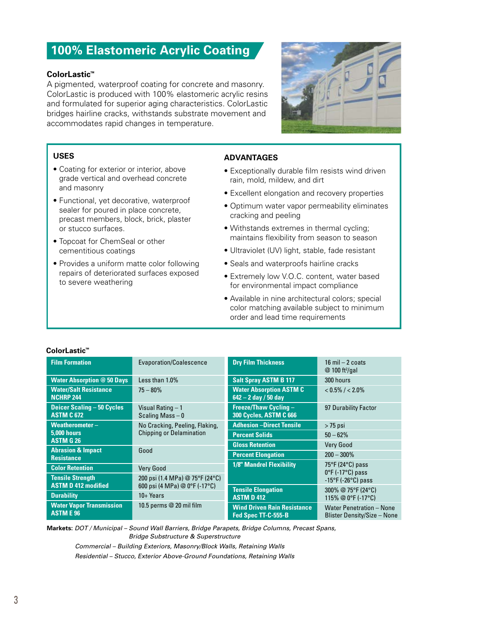# **100% Elastomeric Acrylic Coating**

## **ColorLastic™**

A pigmented, waterproof coating for concrete and masonry. ColorLastic is produced with 100% elastomeric acrylic resins and formulated for superior aging characteristics. ColorLastic bridges hairline cracks, withstands substrate movement and accommodates rapid changes in temperature.



#### **USES**

- Coating for exterior or interior, above grade vertical and overhead concrete and masonry
- Functional, yet decorative, waterproof sealer for poured in place concrete, precast members, block, brick, plaster or stucco surfaces.
- Topcoat for ChemSeal or other cementitious coatings
- Provides a uniform matte color following repairs of deteriorated surfaces exposed to severe weathering

## **ADVANTAGES**

- Exceptionally durable film resists wind driven rain, mold, mildew, and dirt
- Excellent elongation and recovery properties
- Optimum water vapor permeability eliminates cracking and peeling
- Withstands extremes in thermal cycling; maintains flexibility from season to season
- Ultraviolet (UV) light, stable, fade resistant
- Seals and waterproofs hairline cracks
- Extremely low V.O.C. content, water based for environmental impact compliance
- Available in nine architectural colors; special color matching available subject to minimum order and lead time requirements

| <b>Film Formation</b>                                  | Evaporation/Coalescence                | <b>Dry Film Thickness</b>                                 | $16$ mil $-2$ coats<br>$@$ 100 ft <sup>2</sup> /gal                            |
|--------------------------------------------------------|----------------------------------------|-----------------------------------------------------------|--------------------------------------------------------------------------------|
| <b>Water Absorption @ 50 Days</b>                      | Less than 1.0%                         | <b>Salt Spray ASTM B 117</b>                              | 300 hours                                                                      |
| <b>Water/Salt Resistance</b><br><b>NCHRP 244</b>       | $75 - 80\%$                            | <b>Water Absorption ASTM C</b><br>642 - 2 day / 50 day    | $< 0.5\% / < 2.0\%$                                                            |
| <b>Deicer Scaling - 50 Cycles</b><br><b>ASTM C 672</b> | Visual Rating - 1<br>Scaling Mass $-0$ | <b>Freeze/Thaw Cycling -</b><br>300 Cycles, ASTM C 666    | 97 Durability Factor                                                           |
| Weatherometer-                                         | No Cracking, Peeling, Flaking,         | <b>Adhesion-Direct Tensile</b>                            | $> 75$ psi                                                                     |
| <b>5.000 hours</b>                                     | <b>Chipping or Delamination</b>        | <b>Percent Solids</b>                                     | $50 - 62%$                                                                     |
| <b>ASTM G 26</b>                                       |                                        | <b>Gloss Retention</b>                                    | <b>Very Good</b>                                                               |
| <b>Abrasion &amp; Impact</b><br><b>Resistance</b>      | Good                                   | <b>Percent Elongation</b>                                 | $200 - 300\%$                                                                  |
| <b>Color Retention</b>                                 | <b>Very Good</b>                       | <b>1/8" Mandrel Flexibility</b>                           | $75^{\circ}$ F (24 $^{\circ}$ C) pass<br>$0^{\circ}$ F (-17 $^{\circ}$ C) pass |
| <b>Tensile Strength</b>                                | 200 psi (1.4 MPa) @ 75°F (24°C)        |                                                           | $-15^{\circ}$ F ( $-26^{\circ}$ C) pass                                        |
| <b>ASTM D 412 modified</b>                             | 600 psi (4 MPa) @ 0°F (-17°C)          | <b>Tensile Elongation</b>                                 | 300% @ 75°F (24°C)                                                             |
| <b>Durability</b>                                      | $10+Years$                             | <b>ASTM D 412</b>                                         | 115% @ 0°F (-17°C)                                                             |
| <b>Water Vapor Transmission</b><br><b>ASTME 96</b>     | 10.5 perms @ 20 mil film               | <b>Wind Driven Rain Resistance</b><br>Fed Spec TT-C-555-B | <b>Water Penetration - None</b><br>Blister Density/Size - None                 |

#### **ColorLastic™**

**Markets:** *DOT / Municipal – Sound Wall Barriers, Bridge Parapets, Bridge Columns, Precast Spans, Bridge Substructure & Superstructure Commercial – Building Exteriors, Masonry/Block Walls, Retaining Walls*

*Residential – Stucco, Exterior Above-Ground Foundations, Retaining Walls*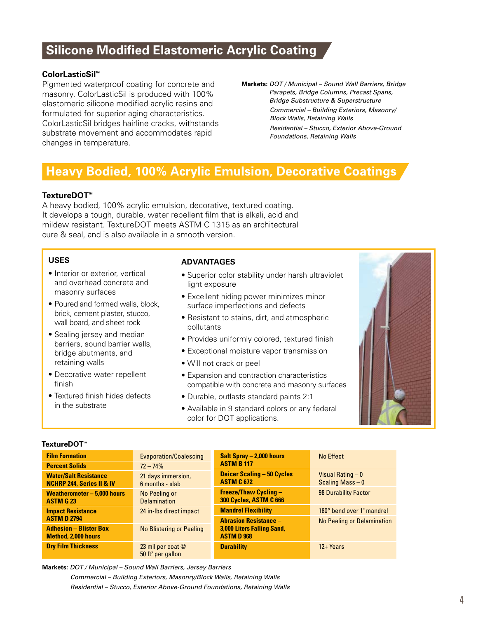# **Silicone Modified Elastomeric Acrylic Coating**

## **ColorLasticSil™**

Pigmented waterproof coating for concrete and masonry. ColorLasticSil is produced with 100% elastomeric silicone modified acrylic resins and formulated for superior aging characteristics. ColorLasticSil bridges hairline cracks, withstands substrate movement and accommodates rapid changes in temperature.

**Markets:** *DOT / Municipal – Sound Wall Barriers, Bridge Parapets, Bridge Columns, Precast Spans, Bridge Substructure & Superstructure Commercial – Building Exteriors, Masonry/ Block Walls, Retaining Walls Residential – Stucco, Exterior Above-Ground Foundations, Retaining Walls*

# **Heavy Bodied, 100% Acrylic Emulsion, Decorative Coatings**

#### **TextureDOT™**

A heavy bodied, 100% acrylic emulsion, decorative, textured coating. It develops a tough, durable, water repellent film that is alkali, acid and mildew resistant. TextureDOT meets ASTM C 1315 as an architectural cure & seal, and is also available in a smooth version.

#### **USES**

- Interior or exterior, vertical and overhead concrete and masonry surfaces
- Poured and formed walls, block, brick, cement plaster, stucco, wall board, and sheet rock
- Sealing jersey and median barriers, sound barrier walls, bridge abutments, and retaining walls
- Decorative water repellent finish
- Textured finish hides defects in the substrate

#### **ADVANTAGES**

- Superior color stability under harsh ultraviolet light exposure
- Excellent hiding power minimizes minor surface imperfections and defects
- Resistant to stains, dirt, and atmospheric pollutants
- Provides uniformly colored, textured finish
- Exceptional moisture vapor transmission
- Will not crack or peel
- Expansion and contraction characteristics compatible with concrete and masonry surfaces
- Durable, outlasts standard paints 2:1
- Available in 9 standard colors or any federal color for DOT applications.



#### **TextureDOT™**

| <b>Film Formation</b>                                                | Evaporation/Coalescing                                 | Salt Spray - 2,000 hours<br><b>ASTM B 117</b>          | No Effect                               |
|----------------------------------------------------------------------|--------------------------------------------------------|--------------------------------------------------------|-----------------------------------------|
| <b>Percent Solids</b>                                                | $72 - 74%$                                             |                                                        |                                         |
| <b>Water/Salt Resistance</b><br><b>NCHRP 244, Series II &amp; IV</b> | 21 days immersion,<br>6 months - slab                  | <b>Deicer Scaling - 50 Cycles</b><br><b>ASTM C 672</b> | Visual Rating $-0$<br>Scaling Mass $-0$ |
| Weatherometer - 5,000 hours<br><b>ASTM G 23</b>                      | No Peeling or<br><b>Delamination</b>                   | <b>Freeze/Thaw Cycling -</b><br>300 Cycles, ASTM C 666 | 98 Durability Factor                    |
| <b>Impact Resistance</b>                                             | 24 in-lbs direct impact                                | <b>Mandrel Flexibility</b>                             | 180° bend over 1" mandrel               |
| <b>ASTM D 2794</b>                                                   |                                                        | <b>Abrasion Resistance -</b>                           | <b>No Peeling or Delamination</b>       |
| <b>Adhesion - Blister Box</b><br><b>Method, 2,000 hours</b>          | No Blistering or Peeling                               | <b>3,000 Liters Falling Sand,</b><br><b>ASTM D 968</b> |                                         |
| <b>Dry Film Thickness</b>                                            | 23 mil per coat $@$<br>$50$ ft <sup>2</sup> per gallon | <b>Durability</b>                                      | $12 + Years$                            |

**Markets:** *DOT / Municipal – Sound Wall Barriers, Jersey Barriers Commercial – Building Exteriors, Masonry/Block Walls, Retaining Walls Residential – Stucco, Exterior Above-Ground Foundations, Retaining Walls*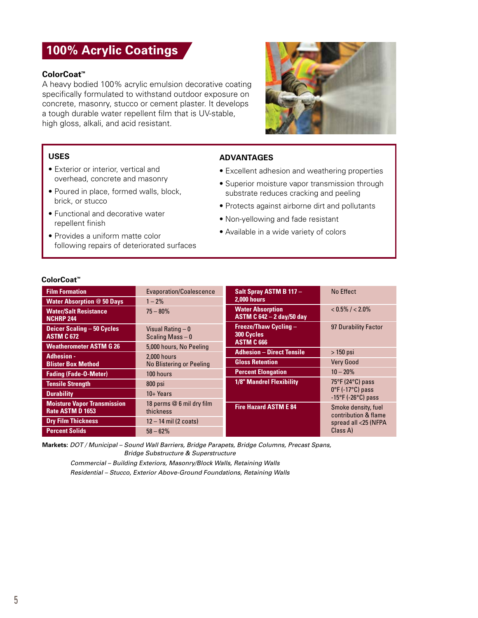# **100% Acrylic Coatings**

#### **ColorCoat™**

A heavy bodied 100% acrylic emulsion decorative coating specifically formulated to withstand outdoor exposure on concrete, masonry, stucco or cement plaster. It develops a tough durable water repellent film that is UV-stable, high gloss, alkali, and acid resistant.



## **USES**

- Exterior or interior, vertical and overhead, concrete and masonry
- Poured in place, formed walls, block, brick, or stucco
- Functional and decorative water repellent finish
- Provides a uniform matte color following repairs of deteriorated surfaces

## **ADVANTAGES**

- Excellent adhesion and weathering properties
- Superior moisture vapor transmission through substrate reduces cracking and peeling
- Protects against airborne dirt and pollutants
- Non-yellowing and fade resistant
- Available in a wide variety of colors

#### **ColorCoat™**

| <b>Film Formation</b>                                  | Evaporation/Coalescence                 | Salt Spray ASTM B 117 -                                     | No Effect                                                                        |
|--------------------------------------------------------|-----------------------------------------|-------------------------------------------------------------|----------------------------------------------------------------------------------|
| <b>Water Absorption @ 50 Days</b>                      | $1 - 2\%$                               | <b>2.000 hours</b>                                          |                                                                                  |
| <b>Water/Salt Resistance</b><br><b>NCHRP 244</b>       | $75 - 80%$                              | <b>Water Absorption</b><br><b>ASTM C 642 - 2 day/50 day</b> | $< 0.5\% / < 2.0\%$                                                              |
| <b>Deicer Scaling - 50 Cycles</b><br><b>ASTM C 672</b> | Visual Rating $-0$<br>Scaling Mass $-0$ | <b>Freeze/Thaw Cycling -</b><br>300 Cycles                  | 97 Durability Factor                                                             |
| <b>Weatherometer ASTM G 26</b>                         | 5,000 hours, No Peeling                 | <b>ASTM C 666</b>                                           |                                                                                  |
| <b>Adhesion -</b>                                      | 2,000 hours                             | <b>Adhesion - Direct Tensile</b>                            | $>150$ psi                                                                       |
| <b>Blister Box Method</b>                              | <b>No Blistering or Peeling</b>         | <b>Gloss Retention</b>                                      | <b>Very Good</b>                                                                 |
| <b>Fading (Fade-O-Meter)</b>                           | 100 hours                               | <b>Percent Elongation</b>                                   | $10 - 20%$                                                                       |
| <b>Tensile Strength</b>                                | 800 psi                                 | <b>1/8" Mandrel Flexibility</b>                             | $75^{\circ}$ F (24 $^{\circ}$ C) pass                                            |
| <b>Durability</b>                                      | $10+Years$                              |                                                             | $0^{\circ}$ F (-17 $^{\circ}$ C) pass<br>$-15^{\circ}$ F ( $-26^{\circ}$ C) pass |
| <b>Moisture Vapor Transmission</b><br>Rate ASTM D 1653 | 18 perms @ 6 mil dry film<br>thickness  | <b>Fire Hazard ASTM E 84</b>                                | Smoke density, fuel<br>contribution & flame                                      |
| <b>Dry Film Thickness</b>                              | $12 - 14$ mil (2 coats)                 |                                                             | spread all <25 (NFPA                                                             |
| <b>Percent Solids</b>                                  | $58 - 62%$                              |                                                             | Class A)                                                                         |

**Markets:** *DOT / Municipal – Sound Wall Barriers, Bridge Parapets, Bridge Columns, Precast Spans, Bridge Substructure & Superstructure* 

*Commercial – Building Exteriors, Masonry/Block Walls, Retaining Walls Residential – Stucco, Exterior Above-Ground Foundations, Retaining Walls*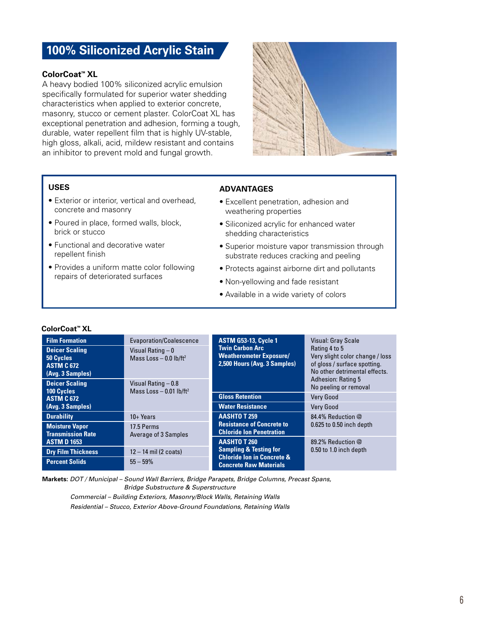# **100% Siliconized Acrylic Stain**

## **ColorCoat™ XL**

A heavy bodied 100% siliconized acrylic emulsion specifically formulated for superior water shedding characteristics when applied to exterior concrete, masonry, stucco or cement plaster. ColorCoat XL has exceptional penetration and adhesion, forming a tough, durable, water repellent film that is highly UV-stable, high gloss, alkali, acid, mildew resistant and contains an inhibitor to prevent mold and fungal growth.



## **USES**

- Exterior or interior, vertical and overhead, concrete and masonry
- Poured in place, formed walls, block, brick or stucco
- Functional and decorative water repellent finish
- Provides a uniform matte color following repairs of deteriorated surfaces

## **ADVANTAGES**

- Excellent penetration, adhesion and weathering properties
- Siliconized acrylic for enhanced water shedding characteristics
- Superior moisture vapor transmission through substrate reduces cracking and peeling
- Protects against airborne dirt and pollutants
- Non-yellowing and fade resistant
- Available in a wide variety of colors

| ColorCoat™ XL |
|---------------|
|---------------|

| <b>Film Formation</b>                                                       | Evaporation/Coalescence                                      | <b>ASTM G53-13, Cycle 1</b><br><b>Twin Carbon Arc</b><br><b>Weatherometer Exposure/</b><br>2,500 Hours (Avg. 3 Samples) | <b>Visual: Gray Scale</b><br>Rating 4 to 5<br>Very slight color change / loss<br>of gloss / surface spotting.<br>No other detrimental effects. |
|-----------------------------------------------------------------------------|--------------------------------------------------------------|-------------------------------------------------------------------------------------------------------------------------|------------------------------------------------------------------------------------------------------------------------------------------------|
| <b>Deicer Scaling</b><br>50 Cycles<br><b>ASTM C 672</b><br>(Avg. 3 Samples) | Visual Rating $-0$<br>Mass Loss $-$ 0.0 lb/ft <sup>2</sup>   |                                                                                                                         |                                                                                                                                                |
| <b>Deicer Scaling</b><br>100 Cycles                                         | Visual Rating - 0.8<br>Mass Loss $-$ 0.01 lb/ft <sup>2</sup> |                                                                                                                         | <b>Adhesion: Rating 5</b><br>No peeling or removal                                                                                             |
| <b>ASTM C 672</b>                                                           |                                                              | <b>Gloss Retention</b>                                                                                                  | <b>Very Good</b>                                                                                                                               |
| (Avg. 3 Samples)                                                            |                                                              | <b>Water Resistance</b>                                                                                                 | <b>Very Good</b>                                                                                                                               |
| <b>Durability</b>                                                           | $10+Years$                                                   | <b>AASHTO T 259</b>                                                                                                     | 84.4% Reduction @                                                                                                                              |
| <b>Moisture Vapor</b><br><b>Transmission Rate</b>                           | 17.5 Perms<br>Average of 3 Samples                           | <b>Resistance of Concrete to</b><br><b>Chloride Ion Penetration</b>                                                     | $0.625$ to $0.50$ inch depth                                                                                                                   |
| <b>ASTM D 1653</b>                                                          |                                                              | <b>AASHTO T 260</b>                                                                                                     | 89.2% Reduction @                                                                                                                              |
| <b>Dry Film Thickness</b>                                                   | $12 - 14$ mil (2 coats)                                      | <b>Sampling &amp; Testing for</b>                                                                                       | 0.50 to 1.0 inch depth                                                                                                                         |
| <b>Percent Solids</b>                                                       | $55 - 59%$                                                   | <b>Chloride Ion in Concrete &amp;</b><br><b>Concrete Raw Materials</b>                                                  |                                                                                                                                                |

**Markets:** *DOT / Municipal – Sound Wall Barriers, Bridge Parapets, Bridge Columns, Precast Spans, Bridge Substructure & Superstructure Commercial – Building Exteriors, Masonry/Block Walls, Retaining Walls*

*Residential – Stucco, Exterior Above-Ground Foundations, Retaining Walls*